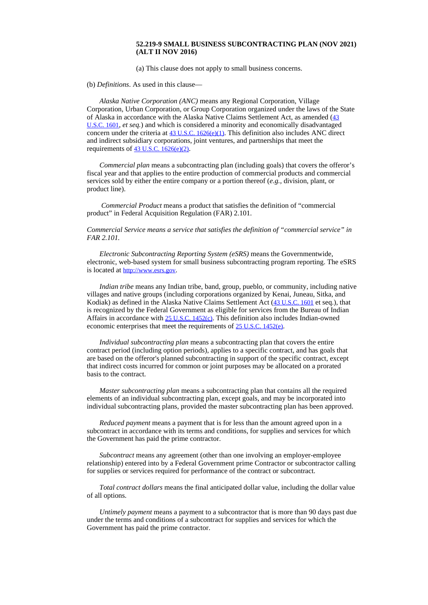## **52.219-9 SMALL BUSINESS SUBCONTRACTING PLAN (NOV 2021) (ALT II NOV 2016)**

(a) This clause does not apply to small business concerns.

(b) *Definitions*. As used in this clause—

*Alaska Native Corporation (ANC)* means any Regional Corporation, Village Corporation, Urban Corporation, or Group Corporation organized under the laws of the State of Alaska in accordance with the Alaska Native Claims Settlement Act, as amended ([43](http://uscode.house.gov/browse.xhtml%3Bjsessionid%3D114A3287C7B3359E597506A31FC855B3) [U.S.C.](http://uscode.house.gov/browse.xhtml%3Bjsessionid%3D114A3287C7B3359E597506A31FC855B3) 1601, *et seq.*) and which is considered a minority and economically disadvantaged concern under the criteria at 43 U.S.C.  $1626(e)(1)$ . This definition also includes ANC direct and indirect subsidiary corporations, joint ventures, and partnerships that meet the requirements of  $43$  U.S.C. [1626\(e\)\(2\)](http://uscode.house.gov/browse.xhtml%3Bjsessionid%3D114A3287C7B3359E597506A31FC855B3).

*Commercial plan* means a subcontracting plan (including goals) that covers the offeror's fiscal year and that applies to the entire production of commercial products and commercial services sold by either the entire company or a portion thereof (*e.g.,* division, plant, or product line).

*Commercial Product* means a product that satisfies the definition of "commercial product" in Federal Acquisition Regulation (FAR) 2.101.

*Commercial Service means a service that satisfies the definition of "commercial service" in FAR 2.101.*

*Electronic Subcontracting Reporting System (eSRS)* means the Governmentwide, electronic, web-based system for small business subcontracting program reporting. The eSRS is located at [http://www.esrs.gov](http://www.esrs.gov/).

*Indian tribe* means any Indian tribe, band, group, pueblo, or community, including native villages and native groups (including corporations organized by Kenai, Juneau, Sitka, and Kodiak) as defined in the Alaska Native Claims Settlement Act (43 [U.S.C.](http://uscode.house.gov/browse.xhtml%3Bjsessionid%3D114A3287C7B3359E597506A31FC855B3) 1601 et seq.), that is recognized by the Federal Government as eligible for services from the Bureau of Indian Affairs in accordance with 25 U.S.C. [1452\(c\)](http://uscode.house.gov/browse.xhtml%3Bjsessionid%3D114A3287C7B3359E597506A31FC855B3). This definition also includes Indian-owned economic enterprises that meet the requirements of 25 U.S.C. [1452\(e\)](http://uscode.house.gov/browse.xhtml%3Bjsessionid%3D114A3287C7B3359E597506A31FC855B3).

*Individual subcontracting plan* means a subcontracting plan that covers the entire contract period (including option periods), applies to a specific contract, and has goals that are based on the offeror's planned subcontracting in support of the specific contract, except that indirect costs incurred for common or joint purposes may be allocated on a prorated basis to the contract.

*Master subcontracting plan* means a subcontracting plan that contains all the required elements of an individual subcontracting plan, except goals, and may be incorporated into individual subcontracting plans, provided the master subcontracting plan has been approved.

*Reduced payment* means a payment that is for less than the amount agreed upon in a subcontract in accordance with its terms and conditions, for supplies and services for which the Government has paid the prime contractor.

*Subcontract* means any agreement (other than one involving an employer-employee relationship) entered into by a Federal Government prime Contractor or subcontractor calling for supplies or services required for performance of the contract or subcontract.

*Total contract dollars* means the final anticipated dollar value, including the dollar value of all options.

*Untimely payment* means a payment to a subcontractor that is more than 90 days past due under the terms and conditions of a subcontract for supplies and services for which the Government has paid the prime contractor.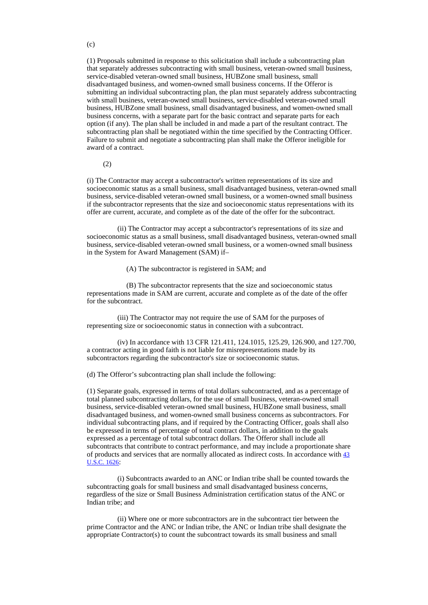## (c)

(1) Proposals submitted in response to this solicitation shall include a subcontracting plan that separately addresses subcontracting with small business, veteran-owned small business, service-disabled veteran-owned small business, HUBZone small business, small disadvantaged business, and women-owned small business concerns. If the Offeror is submitting an individual subcontracting plan, the plan must separately address subcontracting with small business, veteran-owned small business, service-disabled veteran-owned small business, HUBZone small business, small disadvantaged business, and women-owned small business concerns, with a separate part for the basic contract and separate parts for each option (if any). The plan shall be included in and made a part of the resultant contract. The subcontracting plan shall be negotiated within the time specified by the Contracting Officer. Failure to submit and negotiate a subcontracting plan shall make the Offeror ineligible for award of a contract.

(2)

(i) The Contractor may accept a subcontractor's written representations of its size and socioeconomic status as a small business, small disadvantaged business, veteran-owned small business, service-disabled veteran-owned small business, or a women-owned small business if the subcontractor represents that the size and socioeconomic status representations with its offer are current, accurate, and complete as of the date of the offer for the subcontract.

(ii) The Contractor may accept a subcontractor's representations of its size and socioeconomic status as a small business, small disadvantaged business, veteran-owned small business, service-disabled veteran-owned small business, or a women-owned small business in the System for Award Management (SAM) if–

(A) The subcontractor is registered in SAM; and

(B) The subcontractor represents that the size and socioeconomic status representations made in SAM are current, accurate and complete as of the date of the offer for the subcontract.

(iii) The Contractor may not require the use of SAM for the purposes of representing size or socioeconomic status in connection with a subcontract.

(iv) In accordance with 13 CFR 121.411, 124.1015, 125.29, 126.900, and 127.700, a contractor acting in good faith is not liable for misrepresentations made by its subcontractors regarding the subcontractor's size or socioeconomic status.

(d) The Offeror's subcontracting plan shall include the following:

(1) Separate goals, expressed in terms of total dollars subcontracted, and as a percentage of total planned subcontracting dollars, for the use of small business, veteran-owned small business, service-disabled veteran-owned small business, HUBZone small business, small disadvantaged business, and women-owned small business concerns as subcontractors. For individual subcontracting plans, and if required by the Contracting Officer, goals shall also be expressed in terms of percentage of total contract dollars, in addition to the goals expressed as a percentage of total subcontract dollars. The Offeror shall include all subcontracts that contribute to contract performance, and may include a proportionate share of products and services that are normally allocated as indirect costs. In accordanc[e with](http://uscode.house.gov/browse.xhtml%3Bjsessionid%3D114A3287C7B3359E597506A31FC855B3) 43 [U.S.C.](http://uscode.house.gov/browse.xhtml%3Bjsessionid%3D114A3287C7B3359E597506A31FC855B3) 1626:

(i) Subcontracts awarded to an ANC or Indian tribe shall be counted towards the subcontracting goals for small business and small disadvantaged business concerns, regardless of the size or Small Business Administration certification status of the ANC or Indian tribe; and

(ii) Where one or more subcontractors are in the subcontract tier between the prime Contractor and the ANC or Indian tribe, the ANC or Indian tribe shall designate the appropriate Contractor(s) to count the subcontract towards its small business and small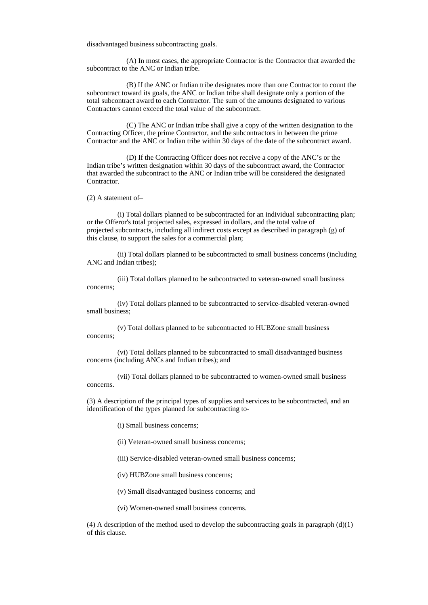disadvantaged business subcontracting goals.

(A) In most cases, the appropriate Contractor is the Contractor that awarded the subcontract to the ANC or Indian tribe.

(B) If the ANC or Indian tribe designates more than one Contractor to count the subcontract toward its goals, the ANC or Indian tribe shall designate only a portion of the total subcontract award to each Contractor. The sum of the amounts designated to various Contractors cannot exceed the total value of the subcontract.

(C) The ANC or Indian tribe shall give a copy of the written designation to the Contracting Officer, the prime Contractor, and the subcontractors in between the prime Contractor and the ANC or Indian tribe within 30 days of the date of the subcontract award.

(D) If the Contracting Officer does not receive a copy of the ANC's or the Indian tribe's written designation within 30 days of the subcontract award, the Contractor that awarded the subcontract to the ANC or Indian tribe will be considered the designated Contractor.

(2) A statement of–

(i) Total dollars planned to be subcontracted for an individual subcontracting plan; or the Offeror's total projected sales, expressed in dollars, and the total value of projected subcontracts, including all indirect costs except as described in paragraph (g) of this clause, to support the sales for a commercial plan;

(ii) Total dollars planned to be subcontracted to small business concerns (including ANC and Indian tribes);

(iii) Total dollars planned to be subcontracted to veteran-owned small business concerns;

(iv) Total dollars planned to be subcontracted to service-disabled veteran-owned small business;

(v) Total dollars planned to be subcontracted to HUBZone small business concerns;

(vi) Total dollars planned to be subcontracted to small disadvantaged business concerns (including ANCs and Indian tribes); and

(vii) Total dollars planned to be subcontracted to women-owned small business concerns.

(3) A description of the principal types of supplies and services to be subcontracted, and an identification of the types planned for subcontracting to-

(i) Small business concerns;

(ii) Veteran-owned small business concerns;

(iii) Service-disabled veteran-owned small business concerns;

(iv) HUBZone small business concerns;

(v) Small disadvantaged business concerns; and

(vi) Women-owned small business concerns.

(4) A description of the method used to develop the subcontracting goals in paragraph  $(d)(1)$ of this clause.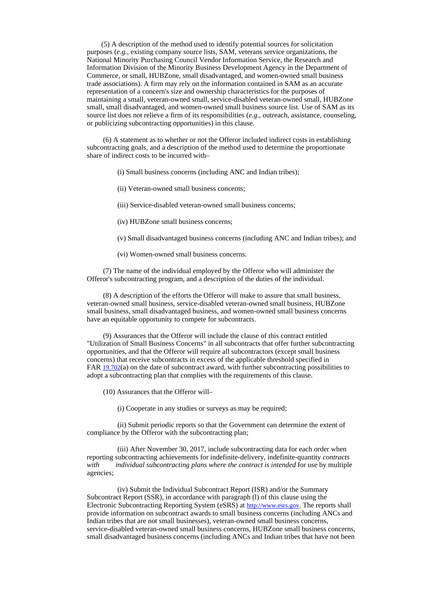(5) A description of the method used to identify potential sources for solicitation purposes (*e.g.*, existing company source lists, SAM, veterans service organizations, the National Minority Purchasing Council Vendor Information Service, the Research and Information Division of the Minority Business Development Agency in the Department of Commerce, or small, HUBZone, small disadvantaged, and women-owned small business trade associations). A firm may rely on the information contained in SAM as an accurate representation of a concern's size and ownership characteristics for the purposes of maintaining a small, veteran-owned small, service-disabled veteran-owned small, HUBZone small, small disadvantaged, and women-owned small business source list. Use of SAM as its source list does not relieve a firm of its responsibilities (*e.g.*, outreach, assistance, counseling, or publicizing subcontracting opportunities) in this clause.

(6) A statement as to whether or not the Offeror included indirect costs in establishing subcontracting goals, and a description of the method used to determine the proportionate share of indirect costs to be incurred with–

(i) Small business concerns (including ANC and Indian tribes);

- (ii) Veteran-owned small business concerns;
- (iii) Service-disabled veteran-owned small business concerns;
- (iv) HUBZone small business concerns;

(v) Small disadvantaged business concerns (including ANC and Indian tribes); and

(vi) Women-owned small business concerns.

(7) The name of the individual employed by the Offeror who will administer the Offeror's subcontracting program, and a description of the duties of the individual.

(8) A description of the efforts the Offeror will make to assure that small business, veteran-owned small business, service-disabled veteran-owned small business, HUBZone small business, small disadvantaged business, and women-owned small business concerns have an equitable opportunity to compete for subcontracts.

(9) Assurances that the Offeror will include the clause of this contract entitled "Utilization of Small Business Concerns" in all subcontracts that offer further subcontracting opportunities, and that the Offeror will require all subcontractors (except small business concerns) that receive subcontracts in excess of the applicable threshold specified in FAR [19.702](https://www.acquisition.gov/far/19.702#FAR_19_702)(a) on the date of subcontract award, with further subcontracting possibilities to adopt a subcontracting plan that complies with the requirements of this clause.

(10) Assurances that the Offeror will–

(i) Cooperate in any studies or surveys as may be required;

(ii) Submit periodic reports so that the Government can determine the extent of compliance by the Offeror with the subcontracting plan;

(iii) After November 30, 2017, include subcontracting data for each order when reporting subcontracting achievements for indefinite-delivery, indefinite-quantity *contracts with individual subcontracting plans where the contract is intended* for use by multiple agencies;

(iv) Submit the Individual Subcontract Report (ISR) and/or the Summary Subcontract Report (SSR), in accordance with paragraph (l) of this clause using the Electronic Subcontracting Reporting System (eSRS) at [http://www.esrs.gov](http://www.esrs.gov/). The reports shall provide information on subcontract awards to small business concerns (including ANCs and Indian tribes that are not small businesses), veteran-owned small business concerns, service-disabled veteran-owned small business concerns, HUBZone small business concerns, small disadvantaged business concerns (including ANCs and Indian tribes that have not been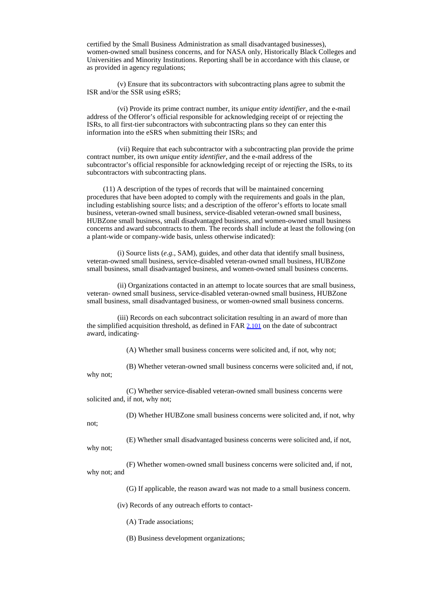certified by the Small Business Administration as small disadvantaged businesses), women-owned small business concerns, and for NASA only, Historically Black Colleges and Universities and Minority Institutions. Reporting shall be in accordance with this clause, or as provided in agency regulations;

(v) Ensure that its subcontractors with subcontracting plans agree to submit the ISR and/or the SSR using eSRS;

(vi) Provide its prime contract number, its *unique entity identifier*, and the e-mail address of the Offeror's official responsible for acknowledging receipt of or rejecting the ISRs, to all first-tier subcontractors with subcontracting plans so they can enter this information into the eSRS when submitting their ISRs; and

(vii) Require that each subcontractor with a subcontracting plan provide the prime contract number, its own *unique entity identifier*, and the e-mail address of the subcontractor's official responsible for acknowledging receipt of or rejecting the ISRs, to its subcontractors with subcontracting plans.

(11) A description of the types of records that will be maintained concerning procedures that have been adopted to comply with the requirements and goals in the plan, including establishing source lists; and a description of the offeror's efforts to locate small business, veteran-owned small business, service-disabled veteran-owned small business, HUBZone small business, small disadvantaged business, and women-owned small business concerns and award subcontracts to them. The records shall include at least the following (on a plant-wide or company-wide basis, unless otherwise indicated):

(i) Source lists (*e.g.,* SAM), guides, and other data that identify small business, veteran-owned small business, service-disabled veteran-owned small business, HUBZone small business, small disadvantaged business, and women-owned small business concerns.

(ii) Organizations contacted in an attempt to locate sources that are small business, veteran- owned small business, service-disabled veteran-owned small business, HUBZone small business, small disadvantaged business, or women-owned small business concerns.

(iii) Records on each subcontract solicitation resulting in an award of more than the simplified acquisition threshold, as defined in FAR [2.101](https://www.acquisition.gov/far/2.101#FAR_2_101) on the date of subcontract award, indicating-

(A) Whether small business concerns were solicited and, if not, why not;

(B) Whether veteran-owned small business concerns were solicited and, if not,

(C) Whether service-disabled veteran-owned small business concerns were solicited and, if not, why not;

not;

why not;

(D) Whether HUBZone small business concerns were solicited and, if not, why

why not;

(E) Whether small disadvantaged business concerns were solicited and, if not,

(F) Whether women-owned small business concerns were solicited and, if not, why not; and

(G) If applicable, the reason award was not made to a small business concern.

(iv) Records of any outreach efforts to contact-

(A) Trade associations;

(B) Business development organizations;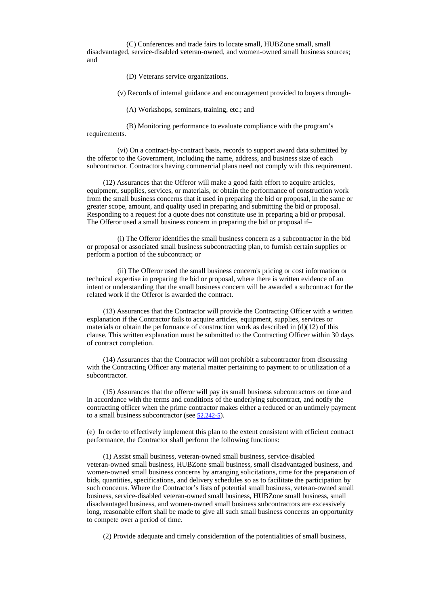(C) Conferences and trade fairs to locate small, HUBZone small, small disadvantaged, service-disabled veteran-owned, and women-owned small business sources; and

(D) Veterans service organizations.

(v) Records of internal guidance and encouragement provided to buyers through-

(A) Workshops, seminars, training, etc.; and

(B) Monitoring performance to evaluate compliance with the program's requirements.

(vi) On a contract-by-contract basis, records to support award data submitted by the offeror to the Government, including the name, address, and business size of each subcontractor. Contractors having commercial plans need not comply with this requirement.

(12) Assurances that the Offeror will make a good faith effort to acquire articles, equipment, supplies, services, or materials, or obtain the performance of construction work from the small business concerns that it used in preparing the bid or proposal, in the same or greater scope, amount, and quality used in preparing and submitting the bid or proposal. Responding to a request for a quote does not constitute use in preparing a bid or proposal. The Offeror used a small business concern in preparing the bid or proposal if–

(i) The Offeror identifies the small business concern as a subcontractor in the bid or proposal or associated small business subcontracting plan, to furnish certain supplies or perform a portion of the subcontract; or

(ii) The Offeror used the small business concern's pricing or cost information or technical expertise in preparing the bid or proposal, where there is written evidence of an intent or understanding that the small business concern will be awarded a subcontract for the related work if the Offeror is awarded the contract.

(13) Assurances that the Contractor will provide the Contracting Officer with a written explanation if the Contractor fails to acquire articles, equipment, supplies, services or materials or obtain the performance of construction work as described in  $(d)(12)$  of this clause. This written explanation must be submitted to the Contracting Officer within 30 days of contract completion.

(14) Assurances that the Contractor will not prohibit a subcontractor from discussing with the Contracting Officer any material matter pertaining to payment to or utilization of a subcontractor.

(15) Assurances that the offeror will pay its small business subcontractors on time and in accordance with the terms and conditions of the underlying subcontract, and notify the contracting officer when the prime contractor makes either a reduced or an untimely payment to a small business subcontractor (see [52.242-5](https://www.acquisition.gov/far/52.242-5#FAR_52_242_5)).

(e) In order to effectively implement this plan to the extent consistent with efficient contract performance, the Contractor shall perform the following functions:

(1) Assist small business, veteran-owned small business, service-disabled veteran-owned small business, HUBZone small business, small disadvantaged business, and women-owned small business concerns by arranging solicitations, time for the preparation of bids, quantities, specifications, and delivery schedules so as to facilitate the participation by such concerns. Where the Contractor's lists of potential small business, veteran-owned small business, service-disabled veteran-owned small business, HUBZone small business, small disadvantaged business, and women-owned small business subcontractors are excessively long, reasonable effort shall be made to give all such small business concerns an opportunity to compete over a period of time.

(2) Provide adequate and timely consideration of the potentialities of small business,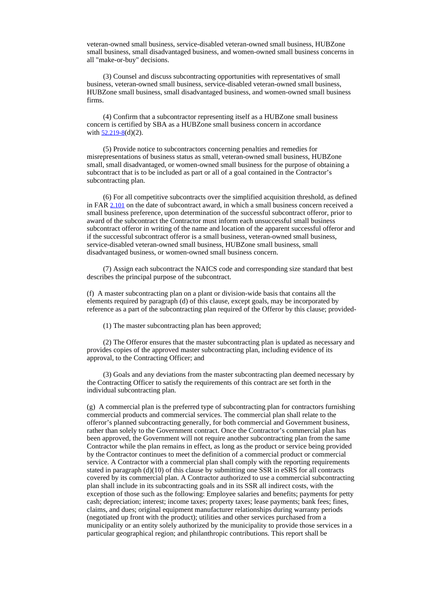veteran-owned small business, service-disabled veteran-owned small business, HUBZone small business, small disadvantaged business, and women-owned small business concerns in all "make-or-buy" decisions.

(3) Counsel and discuss subcontracting opportunities with representatives of small business, veteran-owned small business, service-disabled veteran-owned small business, HUBZone small business, small disadvantaged business, and women-owned small business firms.

(4) Confirm that a subcontractor representing itself as a HUBZone small business concern is certified by SBA as a HUBZone small business concern in accordance with  $52.219 - 8(d)(2)$ .

(5) Provide notice to subcontractors concerning penalties and remedies for misrepresentations of business status as small, veteran-owned small business, HUBZone small, small disadvantaged, or women-owned small business for the purpose of obtaining a subcontract that is to be included as part or all of a goal contained in the Contractor's subcontracting plan.

(6) For all competitive subcontracts over the simplified acquisition threshold, as defined in FAR [2.101](https://www.acquisition.gov/far/2.101#FAR_2_101) on the date of subcontract award, in which a small business concern received a small business preference, upon determination of the successful subcontract offeror, prior to award of the subcontract the Contractor must inform each unsuccessful small business subcontract offeror in writing of the name and location of the apparent successful offeror and if the successful subcontract offeror is a small business, veteran-owned small business, service-disabled veteran-owned small business, HUBZone small business, small disadvantaged business, or women-owned small business concern.

(7) Assign each subcontract the NAICS code and corresponding size standard that best describes the principal purpose of the subcontract.

(f) A master subcontracting plan on a plant or division-wide basis that contains all the elements required by paragraph (d) of this clause, except goals, may be incorporated by reference as a part of the subcontracting plan required of the Offeror by this clause; provided-

(1) The master subcontracting plan has been approved;

(2) The Offeror ensures that the master subcontracting plan is updated as necessary and provides copies of the approved master subcontracting plan, including evidence of its approval, to the Contracting Officer; and

(3) Goals and any deviations from the master subcontracting plan deemed necessary by the Contracting Officer to satisfy the requirements of this contract are set forth in the individual subcontracting plan.

(g) A commercial plan is the preferred type of subcontracting plan for contractors furnishing commercial products and commercial services. The commercial plan shall relate to the offeror's planned subcontracting generally, for both commercial and Government business, rather than solely to the Government contract. Once the Contractor's commercial plan has been approved, the Government will not require another subcontracting plan from the same Contractor while the plan remains in effect, as long as the product or service being provided by the Contractor continues to meet the definition of a commercial product or commercial service. A Contractor with a commercial plan shall comply with the reporting requirements stated in paragraph (d)(10) of this clause by submitting one SSR in eSRS for all contracts covered by its commercial plan. A Contractor authorized to use a commercial subcontracting plan shall include in its subcontracting goals and in its SSR all indirect costs, with the exception of those such as the following: Employee salaries and benefits; payments for petty cash; depreciation; interest; income taxes; property taxes; lease payments; bank fees; fines, claims, and dues; original equipment manufacturer relationships during warranty periods (negotiated up front with the product); utilities and other services purchased from a municipality or an entity solely authorized by the municipality to provide those services in a particular geographical region; and philanthropic contributions. This report shall be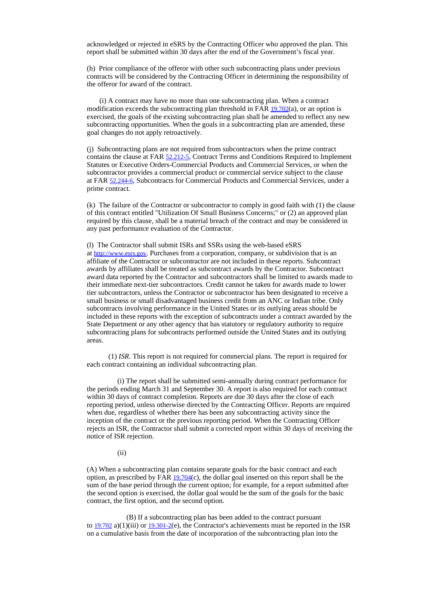acknowledged or rejected in eSRS by the Contracting Officer who approved the plan. This report shall be submitted within 30 days after the end of the Government's fiscal year.

(h) Prior compliance of the offeror with other such subcontracting plans under previous contracts will be considered by the Contracting Officer in determining the responsibility of the offeror for award of the contract.

(i) A contract may have no more than one subcontracting plan. When a contract modification exceeds the subcontracting plan threshold in FAR [19.702](https://www.acquisition.gov/far/19.702#FAR_19_702)(a), or an option is exercised, the goals of the existing subcontracting plan shall be amended to reflect any new subcontracting opportunities. When the goals in a subcontracting plan are amended, these goal changes do not apply retroactively.

(j) Subcontracting plans are not required from subcontractors when the prime contract contains the clause at FAR [52.212-5](https://www.acquisition.gov/far/52.212-5#FAR_52_212_5), Contract Terms and Conditions Required to Implement Statutes or Executive Orders-Commercial Products and Commercial Services, or when the subcontractor provides a commercial product or commercial service subject to the clause at FAR [52.244-6](https://www.acquisition.gov/far/52.244-6#FAR_52_244_6), Subcontracts for Commercial Products and Commercial Services, under a prime contract.

(k) The failure of the Contractor or subcontractor to comply in good faith with (1) the clause of this contract entitled "Utilization Of Small Business Concerns;" or (2) an approved plan required by this clause, shall be a material breach of the contract and may be considered in any past performance evaluation of the Contractor.

(l) The Contractor shall submit ISRs and SSRs using the web-based eSRS at [http://www.esrs.gov](http://www.esrs.gov/). Purchases from a corporation, company, or subdivision that is an affiliate of the Contractor or subcontractor are not included in these reports. Subcontract awards by affiliates shall be treated as subcontract awards by the Contractor. Subcontract award data reported by the Contractor and subcontractors shall be limited to awards made to their immediate next-tier subcontractors. Credit cannot be taken for awards made to lower tier subcontractors, unless the Contractor or subcontractor has been designated to receive a small business or small disadvantaged business credit from an ANC or Indian tribe. Only subcontracts involving performance in the United States or its outlying areas should be included in these reports with the exception of subcontracts under a contract awarded by the State Department or any other agency that has statutory or regulatory authority to require subcontracting plans for subcontracts performed outside the United States and its outlying areas.

(1) *ISR*. This report is not required for commercial plans. The report is required for each contract containing an individual subcontracting plan.

(i) The report shall be submitted semi-annually during contract performance for the periods ending March 31 and September 30. A report is also required for each contract within 30 days of contract completion. Reports are due 30 days after the close of each reporting period, unless otherwise directed by the Contracting Officer. Reports are required when due, regardless of whether there has been any subcontracting activity since the inception of the contract or the previous reporting period. When the Contracting Officer rejects an ISR, the Contractor shall submit a corrected report within 30 days of receiving the notice of ISR rejection.

(ii)

(A) When a subcontracting plan contains separate goals for the basic contract and each option, as prescribed by FAR  $19.704(c)$  $19.704(c)$ , the dollar goal inserted on this report shall be the sum of the base period through the current option; for example, for a report submitted after the second option is exercised, the dollar goal would be the sum of the goals for the basic contract, the first option, and the second option.

(B) If a subcontracting plan has been added to the contract pursuant to  $19.702$  a)(1)(iii) or  $19.301-2(e)$  $19.301-2(e)$ , the Contractor's achievements must be reported in [the ISR](https://www.acquisition.gov/far/19.702#FAR_19_702) on a cumulative basis from the date of incorporation of the subcontracting plan into the